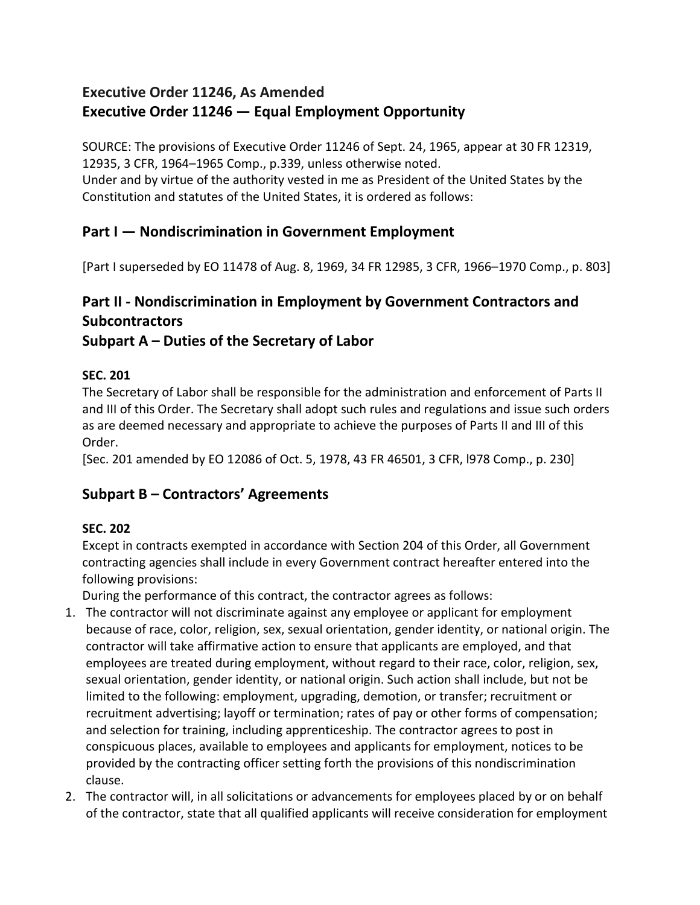# **Executive Order 11246, As Amended Executive Order 11246 — Equal Employment Opportunity**

SOURCE: The provisions of Executive Order 11246 of Sept. 24, 1965, appear at 30 FR 12319, 12935, 3 CFR, 1964–1965 Comp., p.339, unless otherwise noted.

Under and by virtue of the authority vested in me as President of the United States by the Constitution and statutes of the United States, it is ordered as follows:

# **Part I — Nondiscrimination in Government Employment**

[Part I superseded by EO 11478 of Aug. 8, 1969, 34 FR 12985, 3 CFR, 1966–1970 Comp., p. 803]

# **Part II - Nondiscrimination in Employment by Government Contractors and Subcontractors**

# **Subpart A – Duties of the Secretary of Labor**

# **SEC. 201**

The Secretary of Labor shall be responsible for the administration and enforcement of Parts II and III of this Order. The Secretary shall adopt such rules and regulations and issue such orders as are deemed necessary and appropriate to achieve the purposes of Parts II and III of this Order.

[Sec. 201 amended by EO 12086 of Oct. 5, 1978, 43 FR 46501, 3 CFR, l978 Comp., p. 230]

# **Subpart B – Contractors' Agreements**

# **SEC. 202**

Except in contracts exempted in accordance with Section 204 of this Order, all Government contracting agencies shall include in every Government contract hereafter entered into the following provisions:

During the performance of this contract, the contractor agrees as follows:

- 1. The contractor will not discriminate against any employee or applicant for employment because of race, color, religion, sex, sexual orientation, gender identity, or national origin. The contractor will take affirmative action to ensure that applicants are employed, and that employees are treated during employment, without regard to their race, color, religion, sex, sexual orientation, gender identity, or national origin. Such action shall include, but not be limited to the following: employment, upgrading, demotion, or transfer; recruitment or recruitment advertising; layoff or termination; rates of pay or other forms of compensation; and selection for training, including apprenticeship. The contractor agrees to post in conspicuous places, available to employees and applicants for employment, notices to be provided by the contracting officer setting forth the provisions of this nondiscrimination clause.
- 2. The contractor will, in all solicitations or advancements for employees placed by or on behalf of the contractor, state that all qualified applicants will receive consideration for employment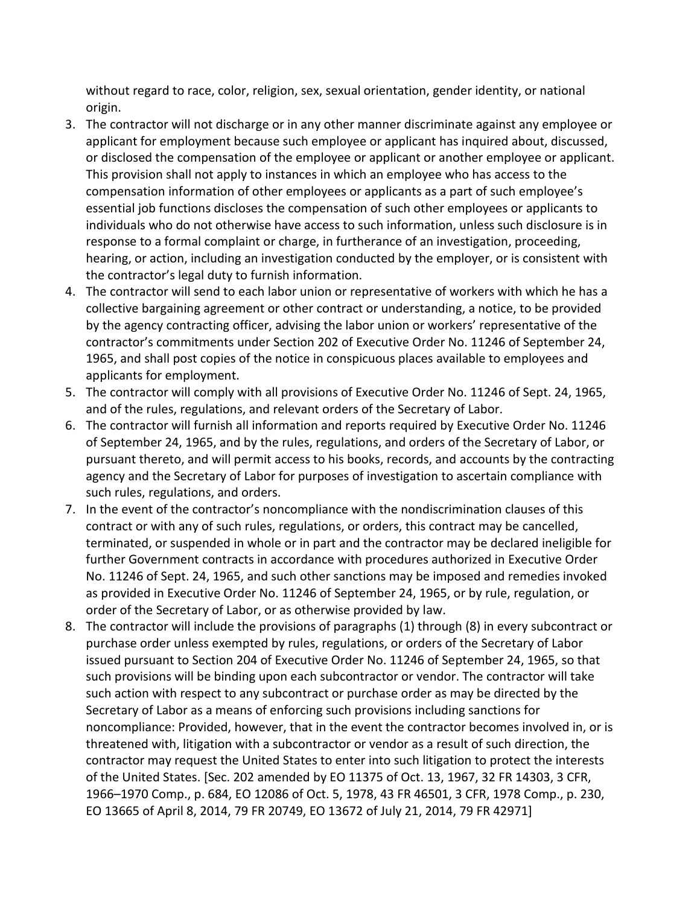without regard to race, color, religion, sex, sexual orientation, gender identity, or national origin.

- 3. The contractor will not discharge or in any other manner discriminate against any employee or applicant for employment because such employee or applicant has inquired about, discussed, or disclosed the compensation of the employee or applicant or another employee or applicant. This provision shall not apply to instances in which an employee who has access to the compensation information of other employees or applicants as a part of such employee's essential job functions discloses the compensation of such other employees or applicants to individuals who do not otherwise have access to such information, unless such disclosure is in response to a formal complaint or charge, in furtherance of an investigation, proceeding, hearing, or action, including an investigation conducted by the employer, or is consistent with the contractor's legal duty to furnish information.
- 4. The contractor will send to each labor union or representative of workers with which he has a collective bargaining agreement or other contract or understanding, a notice, to be provided by the agency contracting officer, advising the labor union or workers' representative of the contractor's commitments under Section 202 of Executive Order No. 11246 of September 24, 1965, and shall post copies of the notice in conspicuous places available to employees and applicants for employment.
- 5. The contractor will comply with all provisions of Executive Order No. 11246 of Sept. 24, 1965, and of the rules, regulations, and relevant orders of the Secretary of Labor.
- 6. The contractor will furnish all information and reports required by Executive Order No. 11246 of September 24, 1965, and by the rules, regulations, and orders of the Secretary of Labor, or pursuant thereto, and will permit access to his books, records, and accounts by the contracting agency and the Secretary of Labor for purposes of investigation to ascertain compliance with such rules, regulations, and orders.
- 7. In the event of the contractor's noncompliance with the nondiscrimination clauses of this contract or with any of such rules, regulations, or orders, this contract may be cancelled, terminated, or suspended in whole or in part and the contractor may be declared ineligible for further Government contracts in accordance with procedures authorized in Executive Order No. 11246 of Sept. 24, 1965, and such other sanctions may be imposed and remedies invoked as provided in Executive Order No. 11246 of September 24, 1965, or by rule, regulation, or order of the Secretary of Labor, or as otherwise provided by law.
- 8. The contractor will include the provisions of paragraphs (1) through (8) in every subcontract or purchase order unless exempted by rules, regulations, or orders of the Secretary of Labor issued pursuant to Section 204 of Executive Order No. 11246 of September 24, 1965, so that such provisions will be binding upon each subcontractor or vendor. The contractor will take such action with respect to any subcontract or purchase order as may be directed by the Secretary of Labor as a means of enforcing such provisions including sanctions for noncompliance: Provided, however, that in the event the contractor becomes involved in, or is threatened with, litigation with a subcontractor or vendor as a result of such direction, the contractor may request the United States to enter into such litigation to protect the interests of the United States. [Sec. 202 amended by EO 11375 of Oct. 13, 1967, 32 FR 14303, 3 CFR, 1966–1970 Comp., p. 684, EO 12086 of Oct. 5, 1978, 43 FR 46501, 3 CFR, 1978 Comp., p. 230, EO 13665 of April 8, 2014, 79 FR 20749, EO 13672 of July 21, 2014, 79 FR 42971]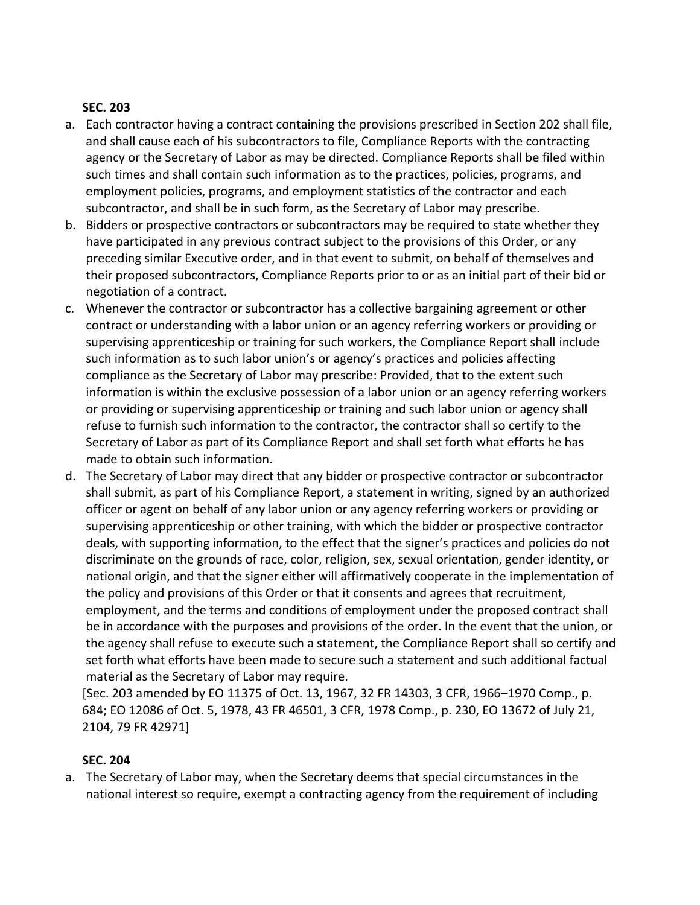#### **SEC. 203**

- a. Each contractor having a contract containing the provisions prescribed in Section 202 shall file, and shall cause each of his subcontractors to file, Compliance Reports with the contracting agency or the Secretary of Labor as may be directed. Compliance Reports shall be filed within such times and shall contain such information as to the practices, policies, programs, and employment policies, programs, and employment statistics of the contractor and each subcontractor, and shall be in such form, as the Secretary of Labor may prescribe.
- b. Bidders or prospective contractors or subcontractors may be required to state whether they have participated in any previous contract subject to the provisions of this Order, or any preceding similar Executive order, and in that event to submit, on behalf of themselves and their proposed subcontractors, Compliance Reports prior to or as an initial part of their bid or negotiation of a contract.
- c. Whenever the contractor or subcontractor has a collective bargaining agreement or other contract or understanding with a labor union or an agency referring workers or providing or supervising apprenticeship or training for such workers, the Compliance Report shall include such information as to such labor union's or agency's practices and policies affecting compliance as the Secretary of Labor may prescribe: Provided, that to the extent such information is within the exclusive possession of a labor union or an agency referring workers or providing or supervising apprenticeship or training and such labor union or agency shall refuse to furnish such information to the contractor, the contractor shall so certify to the Secretary of Labor as part of its Compliance Report and shall set forth what efforts he has made to obtain such information.
- d. The Secretary of Labor may direct that any bidder or prospective contractor or subcontractor shall submit, as part of his Compliance Report, a statement in writing, signed by an authorized officer or agent on behalf of any labor union or any agency referring workers or providing or supervising apprenticeship or other training, with which the bidder or prospective contractor deals, with supporting information, to the effect that the signer's practices and policies do not discriminate on the grounds of race, color, religion, sex, sexual orientation, gender identity, or national origin, and that the signer either will affirmatively cooperate in the implementation of the policy and provisions of this Order or that it consents and agrees that recruitment, employment, and the terms and conditions of employment under the proposed contract shall be in accordance with the purposes and provisions of the order. In the event that the union, or the agency shall refuse to execute such a statement, the Compliance Report shall so certify and set forth what efforts have been made to secure such a statement and such additional factual material as the Secretary of Labor may require.

[Sec. 203 amended by EO 11375 of Oct. 13, 1967, 32 FR 14303, 3 CFR, 1966–1970 Comp., p. 684; EO 12086 of Oct. 5, 1978, 43 FR 46501, 3 CFR, 1978 Comp., p. 230, EO 13672 of July 21, 2104, 79 FR 42971]

#### **SEC. 204**

a. The Secretary of Labor may, when the Secretary deems that special circumstances in the national interest so require, exempt a contracting agency from the requirement of including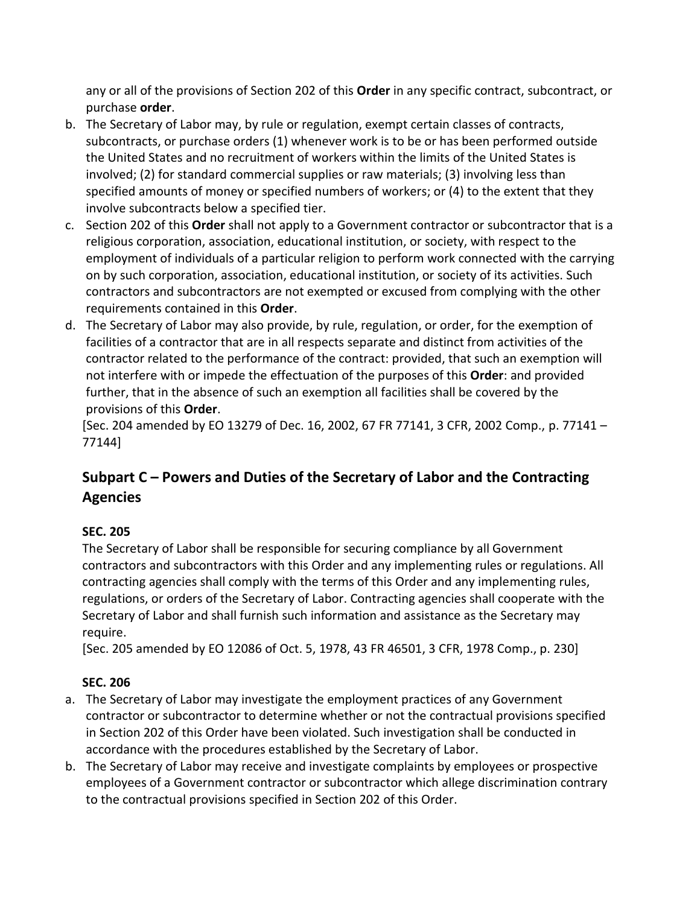any or all of the provisions of Section 202 of this **Order** in any specific contract, subcontract, or purchase **order**.

- b. The Secretary of Labor may, by rule or regulation, exempt certain classes of contracts, subcontracts, or purchase orders (1) whenever work is to be or has been performed outside the United States and no recruitment of workers within the limits of the United States is involved; (2) for standard commercial supplies or raw materials; (3) involving less than specified amounts of money or specified numbers of workers; or (4) to the extent that they involve subcontracts below a specified tier.
- c. Section 202 of this **Order** shall not apply to a Government contractor or subcontractor that is a religious corporation, association, educational institution, or society, with respect to the employment of individuals of a particular religion to perform work connected with the carrying on by such corporation, association, educational institution, or society of its activities. Such contractors and subcontractors are not exempted or excused from complying with the other requirements contained in this **Order**.
- d. The Secretary of Labor may also provide, by rule, regulation, or order, for the exemption of facilities of a contractor that are in all respects separate and distinct from activities of the contractor related to the performance of the contract: provided, that such an exemption will not interfere with or impede the effectuation of the purposes of this **Order**: and provided further, that in the absence of such an exemption all facilities shall be covered by the provisions of this **Order**.

[Sec. 204 amended by EO 13279 of Dec. 16, 2002, 67 FR 77141, 3 CFR, 2002 Comp., p. 77141 – 77144]

# **Subpart C – Powers and Duties of the Secretary of Labor and the Contracting Agencies**

# **SEC. 205**

The Secretary of Labor shall be responsible for securing compliance by all Government contractors and subcontractors with this Order and any implementing rules or regulations. All contracting agencies shall comply with the terms of this Order and any implementing rules, regulations, or orders of the Secretary of Labor. Contracting agencies shall cooperate with the Secretary of Labor and shall furnish such information and assistance as the Secretary may require.

[Sec. 205 amended by EO 12086 of Oct. 5, 1978, 43 FR 46501, 3 CFR, 1978 Comp., p. 230]

# **SEC. 206**

- a. The Secretary of Labor may investigate the employment practices of any Government contractor or subcontractor to determine whether or not the contractual provisions specified in Section 202 of this Order have been violated. Such investigation shall be conducted in accordance with the procedures established by the Secretary of Labor.
- b. The Secretary of Labor may receive and investigate complaints by employees or prospective employees of a Government contractor or subcontractor which allege discrimination contrary to the contractual provisions specified in Section 202 of this Order.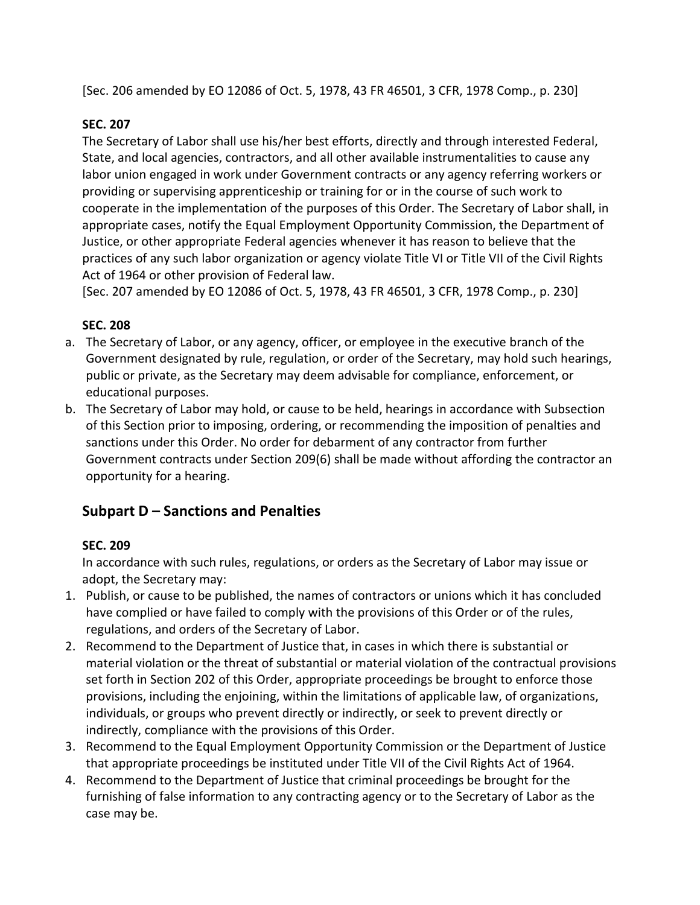[Sec. 206 amended by EO 12086 of Oct. 5, 1978, 43 FR 46501, 3 CFR, 1978 Comp., p. 230]

### **SEC. 207**

The Secretary of Labor shall use his/her best efforts, directly and through interested Federal, State, and local agencies, contractors, and all other available instrumentalities to cause any labor union engaged in work under Government contracts or any agency referring workers or providing or supervising apprenticeship or training for or in the course of such work to cooperate in the implementation of the purposes of this Order. The Secretary of Labor shall, in appropriate cases, notify the Equal Employment Opportunity Commission, the Department of Justice, or other appropriate Federal agencies whenever it has reason to believe that the practices of any such labor organization or agency violate Title VI or Title VII of the Civil Rights Act of 1964 or other provision of Federal law.

[Sec. 207 amended by EO 12086 of Oct. 5, 1978, 43 FR 46501, 3 CFR, 1978 Comp., p. 230]

### **SEC. 208**

- a. The Secretary of Labor, or any agency, officer, or employee in the executive branch of the Government designated by rule, regulation, or order of the Secretary, may hold such hearings, public or private, as the Secretary may deem advisable for compliance, enforcement, or educational purposes.
- b. The Secretary of Labor may hold, or cause to be held, hearings in accordance with Subsection of this Section prior to imposing, ordering, or recommending the imposition of penalties and sanctions under this Order. No order for debarment of any contractor from further Government contracts under Section 209(6) shall be made without affording the contractor an opportunity for a hearing.

# **Subpart D – Sanctions and Penalties**

# **SEC. 209**

In accordance with such rules, regulations, or orders as the Secretary of Labor may issue or adopt, the Secretary may:

- 1. Publish, or cause to be published, the names of contractors or unions which it has concluded have complied or have failed to comply with the provisions of this Order or of the rules, regulations, and orders of the Secretary of Labor.
- 2. Recommend to the Department of Justice that, in cases in which there is substantial or material violation or the threat of substantial or material violation of the contractual provisions set forth in Section 202 of this Order, appropriate proceedings be brought to enforce those provisions, including the enjoining, within the limitations of applicable law, of organizations, individuals, or groups who prevent directly or indirectly, or seek to prevent directly or indirectly, compliance with the provisions of this Order.
- 3. Recommend to the Equal Employment Opportunity Commission or the Department of Justice that appropriate proceedings be instituted under Title VII of the Civil Rights Act of 1964.
- 4. Recommend to the Department of Justice that criminal proceedings be brought for the furnishing of false information to any contracting agency or to the Secretary of Labor as the case may be.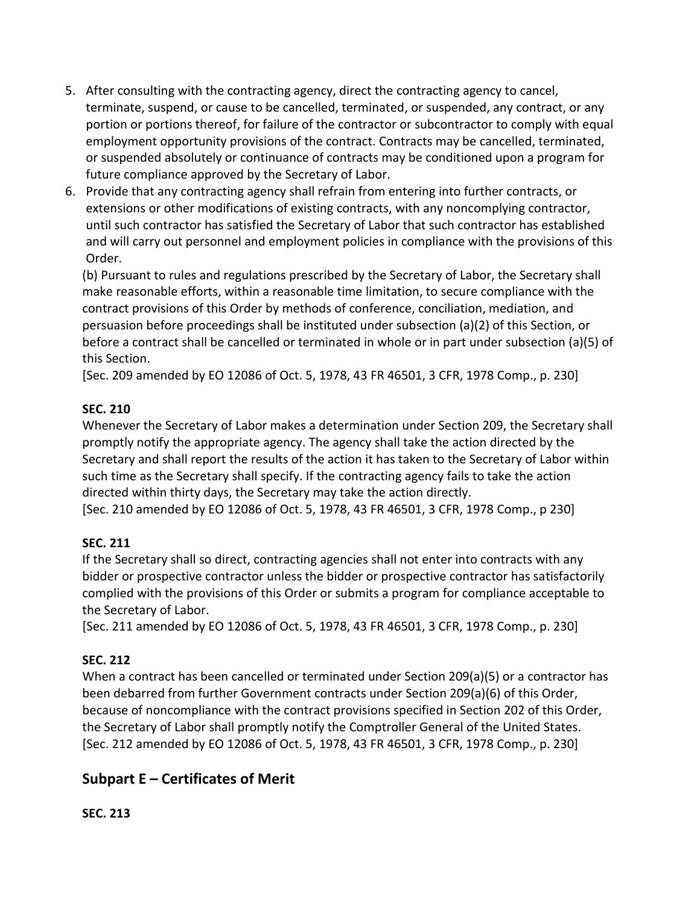- 5. After consulting with the contracting agency, direct the contracting agency to cancel, terminate, suspend, or cause to be cancelled, terminated, or suspended, any contract, or any portion or portions thereof, for failure of the contractor or subcontractor to comply with equal employment opportunity provisions of the contract. Contracts may be cancelled, terminated, or suspended absolutely or continuance of contracts may be conditioned upon a program for future compliance approved by the Secretary of Labor.
- 6. Provide that any contracting agency shall refrain from entering into further contracts, or extensions or other modifications of existing contracts, with any noncomplying contractor, until such contractor has satisfied the Secretary of Labor that such contractor has established and will carry out personnel and employment policies in compliance with the provisions of this Order.

(b) Pursuant to rules and regulations prescribed by the Secretary of Labor, the Secretary shall make reasonable efforts, within a reasonable time limitation, to secure compliance with the contract provisions of this Order by methods of conference, conciliation, mediation, and persuasion before proceedings shall be instituted under subsection (a)(2) of this Section, or before a contract shall be cancelled or terminated in whole or in part under subsection (a)(5) of this Section.

[Sec. 209 amended by EO 12086 of Oct. 5, 1978, 43 FR 46501, 3 CFR, 1978 Comp., p. 230]

### **SEC. 210**

Whenever the Secretary of Labor makes a determination under Section 209, the Secretary shall promptly notify the appropriate agency. The agency shall take the action directed by the Secretary and shall report the results of the action it has taken to the Secretary of Labor within such time as the Secretary shall specify. If the contracting agency fails to take the action directed within thirty days, the Secretary may take the action directly.

[Sec. 210 amended by EO 12086 of Oct. 5, 1978, 43 FR 46501, 3 CFR, 1978 Comp., p 230]

# **SEC. 211**

If the Secretary shall so direct, contracting agencies shall not enter into contracts with any bidder or prospective contractor unless the bidder or prospective contractor has satisfactorily complied with the provisions of this Order or submits a program for compliance acceptable to the Secretary of Labor.

[Sec. 211 amended by EO 12086 of Oct. 5, 1978, 43 FR 46501, 3 CFR, 1978 Comp., p. 230]

# **SEC. 212**

When a contract has been cancelled or terminated under Section 209(a)(5) or a contractor has been debarred from further Government contracts under Section 209(a)(6) of this Order, because of noncompliance with the contract provisions specified in Section 202 of this Order, the Secretary of Labor shall promptly notify the Comptroller General of the United States. [Sec. 212 amended by EO 12086 of Oct. 5, 1978, 43 FR 46501, 3 CFR, 1978 Comp., p. 230]

# **Subpart E – Certificates of Merit**

**SEC. 213**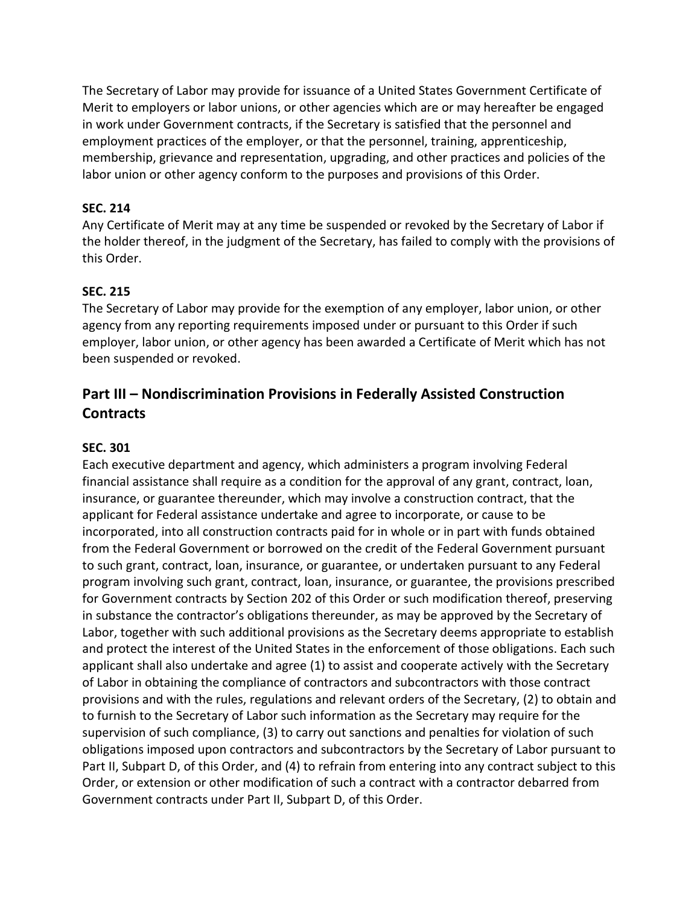The Secretary of Labor may provide for issuance of a United States Government Certificate of Merit to employers or labor unions, or other agencies which are or may hereafter be engaged in work under Government contracts, if the Secretary is satisfied that the personnel and employment practices of the employer, or that the personnel, training, apprenticeship, membership, grievance and representation, upgrading, and other practices and policies of the labor union or other agency conform to the purposes and provisions of this Order.

#### **SEC. 214**

Any Certificate of Merit may at any time be suspended or revoked by the Secretary of Labor if the holder thereof, in the judgment of the Secretary, has failed to comply with the provisions of this Order.

### **SEC. 215**

The Secretary of Labor may provide for the exemption of any employer, labor union, or other agency from any reporting requirements imposed under or pursuant to this Order if such employer, labor union, or other agency has been awarded a Certificate of Merit which has not been suspended or revoked.

# **Part III – Nondiscrimination Provisions in Federally Assisted Construction Contracts**

#### **SEC. 301**

Each executive department and agency, which administers a program involving Federal financial assistance shall require as a condition for the approval of any grant, contract, loan, insurance, or guarantee thereunder, which may involve a construction contract, that the applicant for Federal assistance undertake and agree to incorporate, or cause to be incorporated, into all construction contracts paid for in whole or in part with funds obtained from the Federal Government or borrowed on the credit of the Federal Government pursuant to such grant, contract, loan, insurance, or guarantee, or undertaken pursuant to any Federal program involving such grant, contract, loan, insurance, or guarantee, the provisions prescribed for Government contracts by Section 202 of this Order or such modification thereof, preserving in substance the contractor's obligations thereunder, as may be approved by the Secretary of Labor, together with such additional provisions as the Secretary deems appropriate to establish and protect the interest of the United States in the enforcement of those obligations. Each such applicant shall also undertake and agree (1) to assist and cooperate actively with the Secretary of Labor in obtaining the compliance of contractors and subcontractors with those contract provisions and with the rules, regulations and relevant orders of the Secretary, (2) to obtain and to furnish to the Secretary of Labor such information as the Secretary may require for the supervision of such compliance, (3) to carry out sanctions and penalties for violation of such obligations imposed upon contractors and subcontractors by the Secretary of Labor pursuant to Part II, Subpart D, of this Order, and (4) to refrain from entering into any contract subject to this Order, or extension or other modification of such a contract with a contractor debarred from Government contracts under Part II, Subpart D, of this Order.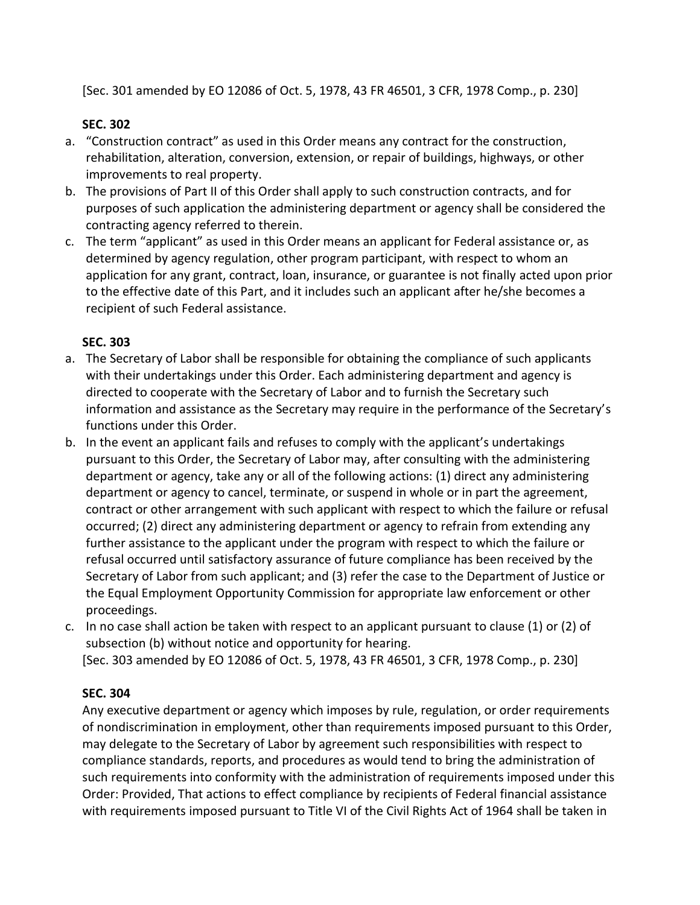[Sec. 301 amended by EO 12086 of Oct. 5, 1978, 43 FR 46501, 3 CFR, 1978 Comp., p. 230]

### **SEC. 302**

- a. "Construction contract" as used in this Order means any contract for the construction, rehabilitation, alteration, conversion, extension, or repair of buildings, highways, or other improvements to real property.
- b. The provisions of Part II of this Order shall apply to such construction contracts, and for purposes of such application the administering department or agency shall be considered the contracting agency referred to therein.
- c. The term "applicant" as used in this Order means an applicant for Federal assistance or, as determined by agency regulation, other program participant, with respect to whom an application for any grant, contract, loan, insurance, or guarantee is not finally acted upon prior to the effective date of this Part, and it includes such an applicant after he/she becomes a recipient of such Federal assistance.

### **SEC. 303**

- a. The Secretary of Labor shall be responsible for obtaining the compliance of such applicants with their undertakings under this Order. Each administering department and agency is directed to cooperate with the Secretary of Labor and to furnish the Secretary such information and assistance as the Secretary may require in the performance of the Secretary's functions under this Order.
- b. In the event an applicant fails and refuses to comply with the applicant's undertakings pursuant to this Order, the Secretary of Labor may, after consulting with the administering department or agency, take any or all of the following actions: (1) direct any administering department or agency to cancel, terminate, or suspend in whole or in part the agreement, contract or other arrangement with such applicant with respect to which the failure or refusal occurred; (2) direct any administering department or agency to refrain from extending any further assistance to the applicant under the program with respect to which the failure or refusal occurred until satisfactory assurance of future compliance has been received by the Secretary of Labor from such applicant; and (3) refer the case to the Department of Justice or the Equal Employment Opportunity Commission for appropriate law enforcement or other proceedings.
- c. In no case shall action be taken with respect to an applicant pursuant to clause (1) or (2) of subsection (b) without notice and opportunity for hearing.

[Sec. 303 amended by EO 12086 of Oct. 5, 1978, 43 FR 46501, 3 CFR, 1978 Comp., p. 230]

#### **SEC. 304**

Any executive department or agency which imposes by rule, regulation, or order requirements of nondiscrimination in employment, other than requirements imposed pursuant to this Order, may delegate to the Secretary of Labor by agreement such responsibilities with respect to compliance standards, reports, and procedures as would tend to bring the administration of such requirements into conformity with the administration of requirements imposed under this Order: Provided, That actions to effect compliance by recipients of Federal financial assistance with requirements imposed pursuant to Title VI of the Civil Rights Act of 1964 shall be taken in